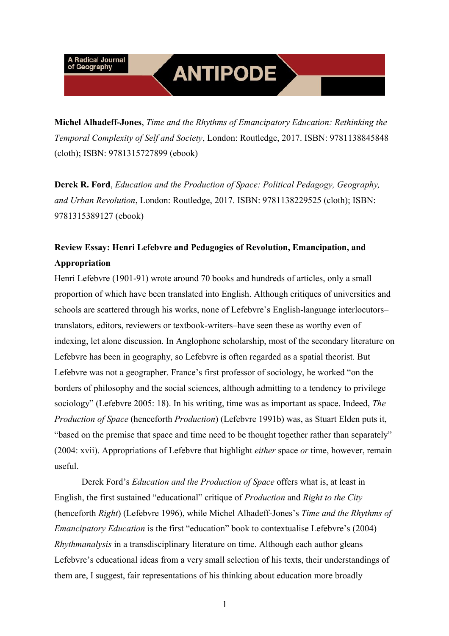## **ANTIPODE**

**Michel Alhadeff-Jones**, *Time and the Rhythms of Emancipatory Education: Rethinking the Temporal Complexity of Self and Society*, London: Routledge, 2017. ISBN: 9781138845848 (cloth); ISBN: 9781315727899 (ebook)

**Derek R. Ford**, *Education and the Production of Space: Political Pedagogy, Geography, and Urban Revolution*, London: Routledge, 2017. ISBN: 9781138229525 (cloth); ISBN: 9781315389127 (ebook)

#### **[Review Essay: Henri Lefebvre and Pedagogies of Revolution, Emancipation, and](#page-7-0)  Appropriation**

Henri Lefebvre (1901-91) wrote around 70 books and hundreds of articles, only a small proportion of which have been translated into English. Although critiques of universities and schools are scattered through his works, none of Lefebvre's English-language interlocutors– translators, editors, reviewers or textbook-writers–have seen these as worthy even of indexing, let alone discussion. In Anglophone scholarship, most of the secondary literature on Lefebvre has been in geography, so Lefebvre is often regarded as a spatial theorist. But Lefebvre was not a geographer. France's first professor of sociology, he worked "on the borders of philosophy and the social sciences, although admitting to a tendency to privilege sociology" (Lefebvre 2005: 18). In his writing, time was as important as space. Indeed, *The Production of Space* (henceforth *Production*) (Lefebvre 1991b) was, as Stuart Elden puts it, "based on the premise that space and time need to be thought together rather than separately" (2004: xvii). Appropriations of Lefebvre that highlight *either* space *or* time, however, remain useful.

Derek Ford's *Education and the Production of Space* offers what is, at least in English, the first sustained "educational" critique of *Production* and *Right to the City* (henceforth *Right*) (Lefebvre 1996), while Michel Alhadeff-Jones's *Time and the Rhythms of Emancipatory Education* is the first "education" book to contextualise Lefebvre's (2004) *Rhythmanalysis* in a transdisciplinary literature on time. Although each author gleans Lefebvre's educational ideas from a very small selection of his texts, their understandings of them are, I suggest, fair representations of his thinking about education more broadly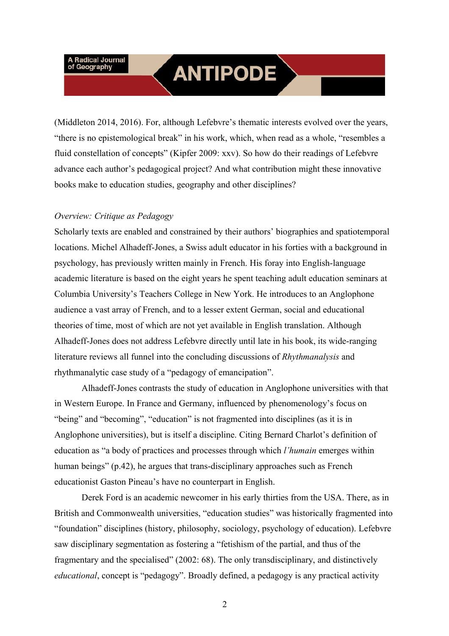### **ANTIPODE**

(Middleton 2014, 2016). For, although Lefebvre's thematic interests evolved over the years, "there is no epistemological break" in his work, which, when read as a whole, "resembles a fluid constellation of concepts" (Kipfer 2009: xxv). So how do their readings of Lefebvre advance each author's pedagogical project? And what contribution might these innovative books make to education studies, geography and other disciplines?

#### *Overview: Critique as Pedagogy*

Scholarly texts are enabled and constrained by their authors' biographies and spatiotemporal locations. Michel Alhadeff-Jones, a Swiss adult educator in his forties with a background in psychology, has previously written mainly in French. His foray into English-language academic literature is based on the eight years he spent teaching adult education seminars at Columbia University's Teachers College in New York. He introduces to an Anglophone audience a vast array of French, and to a lesser extent German, social and educational theories of time, most of which are not yet available in English translation. Although Alhadeff-Jones does not address Lefebvre directly until late in his book, its wide-ranging literature reviews all funnel into the concluding discussions of *Rhythmanalysis* and rhythmanalytic case study of a "pedagogy of emancipation".

Alhadeff-Jones contrasts the study of education in Anglophone universities with that in Western Europe. In France and Germany, influenced by phenomenology's focus on "being" and "becoming", "education" is not fragmented into disciplines (as it is in Anglophone universities), but is itself a discipline. Citing Bernard Charlot's definition of education as "a body of practices and processes through which *l'humain* emerges within human beings" (p.42), he argues that trans-disciplinary approaches such as French educationist Gaston Pineau's have no counterpart in English.

Derek Ford is an academic newcomer in his early thirties from the USA. There, as in British and Commonwealth universities, "education studies" was historically fragmented into "foundation" disciplines (history, philosophy, sociology, psychology of education). Lefebvre saw disciplinary segmentation as fostering a "fetishism of the partial, and thus of the fragmentary and the specialised" (2002: 68). The only transdisciplinary, and distinctively *educational*, concept is "pedagogy". Broadly defined, a pedagogy is any practical activity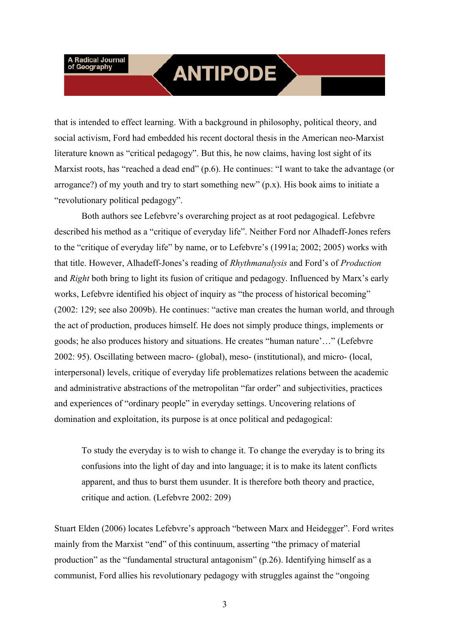#### **ANTIPODE**

that is intended to effect learning. With a background in philosophy, political theory, and social activism, Ford had embedded his recent doctoral thesis in the American neo-Marxist literature known as "critical pedagogy". But this, he now claims, having lost sight of its Marxist roots, has "reached a dead end" (p.6). He continues: "I want to take the advantage (or arrogance?) of my youth and try to start something new" (p.x). His book aims to initiate a "revolutionary political pedagogy".

Both authors see Lefebvre's overarching project as at root pedagogical. Lefebvre described his method as a "critique of everyday life". Neither Ford nor Alhadeff-Jones refers to the "critique of everyday life" by name, or to Lefebvre's (1991a; 2002; 2005) works with that title. However, Alhadeff-Jones's reading of *Rhythmanalysis* and Ford's of *Production* and *Right* both bring to light its fusion of critique and pedagogy. Influenced by Marx's early works, Lefebvre identified his object of inquiry as "the process of historical becoming" (2002: 129; see also 2009b). He continues: "active man creates the human world, and through the act of production, produces himself. He does not simply produce things, implements or goods; he also produces history and situations. He creates "human nature'…" (Lefebvre 2002: 95). Oscillating between macro- (global), meso- (institutional), and micro- (local, interpersonal) levels, critique of everyday life problematizes relations between the academic and administrative abstractions of the metropolitan "far order" and subjectivities, practices and experiences of "ordinary people" in everyday settings. Uncovering relations of domination and exploitation, its purpose is at once political and pedagogical:

To study the everyday is to wish to change it. To change the everyday is to bring its confusions into the light of day and into language; it is to make its latent conflicts apparent, and thus to burst them usunder. It is therefore both theory and practice, critique and action. (Lefebvre 2002: 209)

Stuart Elden (2006) locates Lefebvre's approach "between Marx and Heidegger". Ford writes mainly from the Marxist "end" of this continuum, asserting "the primacy of material production" as the "fundamental structural antagonism" (p.26). Identifying himself as a communist, Ford allies his revolutionary pedagogy with struggles against the "ongoing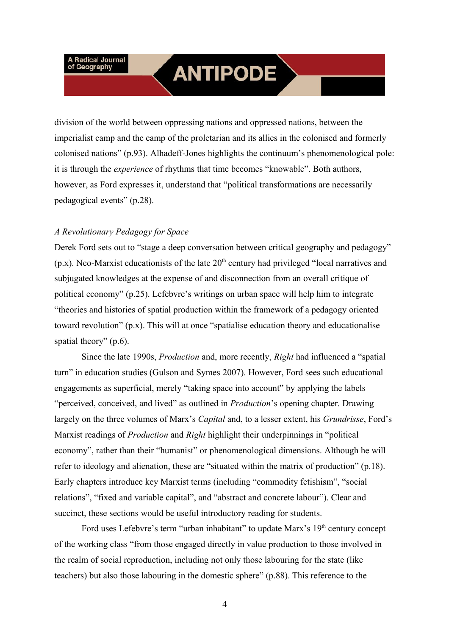### **ANTIPODE**

division of the world between oppressing nations and oppressed nations, between the imperialist camp and the camp of the proletarian and its allies in the colonised and formerly colonised nations" (p.93). Alhadeff-Jones highlights the continuum's phenomenological pole: it is through the *experience* of rhythms that time becomes "knowable". Both authors, however, as Ford expresses it, understand that "political transformations are necessarily pedagogical events" (p.28).

#### *A Revolutionary Pedagogy for Space*

Derek Ford sets out to "stage a deep conversation between critical geography and pedagogy"  $(p.x)$ . Neo-Marxist educationists of the late  $20<sup>th</sup>$  century had privileged "local narratives and subjugated knowledges at the expense of and disconnection from an overall critique of political economy" (p.25). Lefebvre's writings on urban space will help him to integrate "theories and histories of spatial production within the framework of a pedagogy oriented toward revolution" (p.x). This will at once "spatialise education theory and educationalise spatial theory" (p.6).

Since the late 1990s, *Production* and, more recently, *Right* had influenced a "spatial turn" in education studies (Gulson and Symes 2007). However, Ford sees such educational engagements as superficial, merely "taking space into account" by applying the labels "perceived, conceived, and lived" as outlined in *Production*'s opening chapter. Drawing largely on the three volumes of Marx's *Capital* and, to a lesser extent, his *Grundrisse*, Ford's Marxist readings of *Production* and *Right* highlight their underpinnings in "political economy", rather than their "humanist" or phenomenological dimensions. Although he will refer to ideology and alienation, these are "situated within the matrix of production" (p.18). Early chapters introduce key Marxist terms (including "commodity fetishism", "social relations", "fixed and variable capital", and "abstract and concrete labour"). Clear and succinct, these sections would be useful introductory reading for students.

Ford uses Lefebvre's term "urban inhabitant" to update Marx's 19<sup>th</sup> century concept of the working class "from those engaged directly in value production to those involved in the realm of social reproduction, including not only those labouring for the state (like teachers) but also those labouring in the domestic sphere" (p.88). This reference to the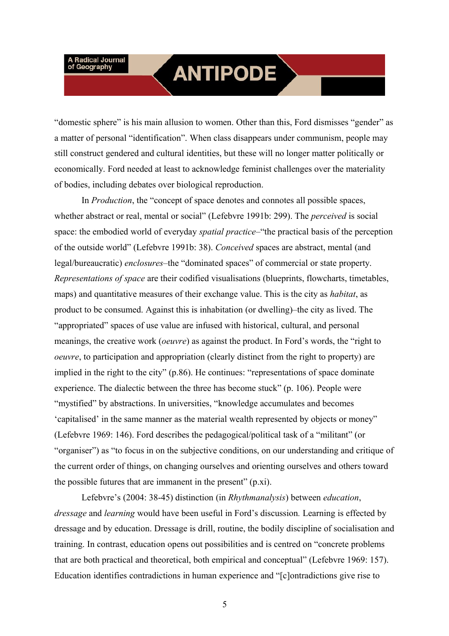### **ANTIPODE**

"domestic sphere" is his main allusion to women. Other than this, Ford dismisses "gender" as a matter of personal "identification". When class disappears under communism, people may still construct gendered and cultural identities, but these will no longer matter politically or economically. Ford needed at least to acknowledge feminist challenges over the materiality of bodies, including debates over biological reproduction.

In *Production*, the "concept of space denotes and connotes all possible spaces, whether abstract or real, mental or social" (Lefebvre 1991b: 299). The *perceived* is social space: the embodied world of everyday *spatial practice*–"the practical basis of the perception of the outside world" (Lefebvre 1991b: 38). *Conceived* spaces are abstract, mental (and legal/bureaucratic) *enclosures–*the "dominated spaces" of commercial or state property. *Representations of space* are their codified visualisations (blueprints, flowcharts, timetables, maps) and quantitative measures of their exchange value. This is the city as *habitat*, as product to be consumed. Against this is inhabitation (or dwelling)–the city as lived. The "appropriated" spaces of use value are infused with historical, cultural, and personal meanings, the creative work (*oeuvre*) as against the product. In Ford's words, the "right to *oeuvre*, to participation and appropriation (clearly distinct from the right to property) are implied in the right to the city" (p.86). He continues: "representations of space dominate experience. The dialectic between the three has become stuck" (p. 106). People were "mystified" by abstractions. In universities, "knowledge accumulates and becomes 'capitalised' in the same manner as the material wealth represented by objects or money" (Lefebvre 1969: 146). Ford describes the pedagogical/political task of a "militant" (or "organiser") as "to focus in on the subjective conditions, on our understanding and critique of the current order of things, on changing ourselves and orienting ourselves and others toward the possible futures that are immanent in the present" (p.xi).

Lefebvre's (2004: 38-45) distinction (in *Rhythmanalysis*) between *education*, *dressage* and *learning* would have been useful in Ford's discussion*.* Learning is effected by dressage and by education. Dressage is drill, routine, the bodily discipline of socialisation and training. In contrast, education opens out possibilities and is centred on "concrete problems that are both practical and theoretical, both empirical and conceptual" (Lefebvre 1969: 157). Education identifies contradictions in human experience and "[c]ontradictions give rise to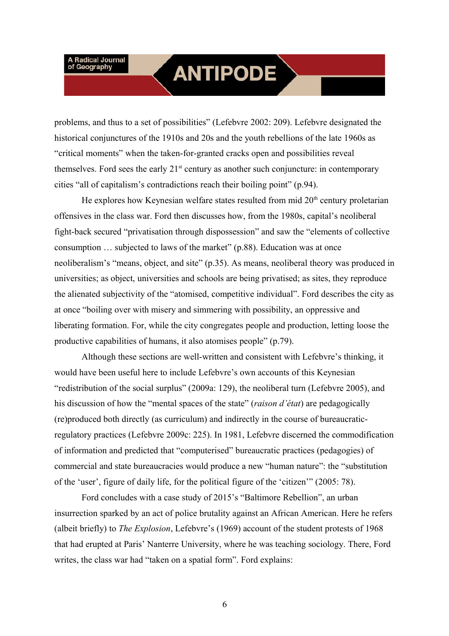### **ANTIPODE**

problems, and thus to a set of possibilities" (Lefebvre 2002: 209). Lefebvre designated the historical conjunctures of the 1910s and 20s and the youth rebellions of the late 1960s as "critical moments" when the taken-for-granted cracks open and possibilities reveal themselves. Ford sees the early  $21<sup>st</sup>$  century as another such conjuncture: in contemporary cities "all of capitalism's contradictions reach their boiling point" (p.94).

He explores how Keynesian welfare states resulted from mid  $20<sup>th</sup>$  century proletarian offensives in the class war. Ford then discusses how, from the 1980s, capital's neoliberal fight-back secured "privatisation through dispossession" and saw the "elements of collective consumption … subjected to laws of the market" (p.88). Education was at once neoliberalism's "means, object, and site" (p.35). As means, neoliberal theory was produced in universities; as object, universities and schools are being privatised; as sites, they reproduce the alienated subjectivity of the "atomised, competitive individual". Ford describes the city as at once "boiling over with misery and simmering with possibility, an oppressive and liberating formation. For, while the city congregates people and production, letting loose the productive capabilities of humans, it also atomises people" (p.79).

Although these sections are well-written and consistent with Lefebvre's thinking, it would have been useful here to include Lefebvre's own accounts of this Keynesian "redistribution of the social surplus" (2009a: 129), the neoliberal turn (Lefebvre 2005), and his discussion of how the "mental spaces of the state" (*raison d'état*) are pedagogically (re)produced both directly (as curriculum) and indirectly in the course of bureaucraticregulatory practices (Lefebvre 2009c: 225). In 1981, Lefebvre discerned the commodification of information and predicted that "computerised" bureaucratic practices (pedagogies) of commercial and state bureaucracies would produce a new "human nature": the "substitution of the 'user', figure of daily life, for the political figure of the 'citizen'" (2005: 78).

Ford concludes with a case study of 2015's "Baltimore Rebellion", an urban insurrection sparked by an act of police brutality against an African American. Here he refers (albeit briefly) to *The Explosion*, Lefebvre's (1969) account of the student protests of 1968 that had erupted at Paris' Nanterre University, where he was teaching sociology. There, Ford writes, the class war had "taken on a spatial form". Ford explains: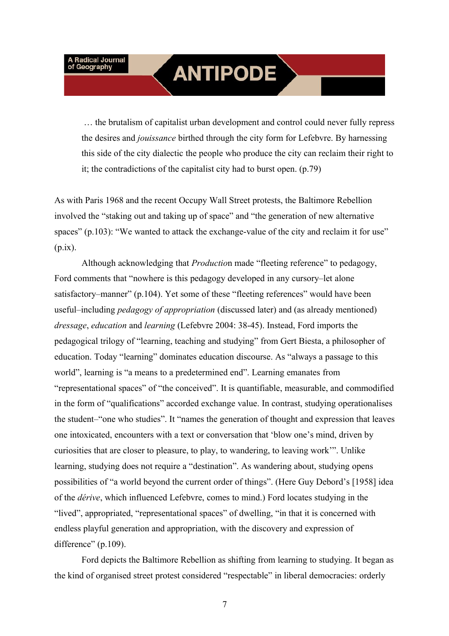## **ANTIPODE**

 … the brutalism of capitalist urban development and control could never fully repress the desires and *jouissance* birthed through the city form for Lefebvre. By harnessing this side of the city dialectic the people who produce the city can reclaim their right to it; the contradictions of the capitalist city had to burst open. (p.79)

As with Paris 1968 and the recent Occupy Wall Street protests, the Baltimore Rebellion involved the "staking out and taking up of space" and "the generation of new alternative spaces" (p.103): "We wanted to attack the exchange-value of the city and reclaim it for use"  $(p.ix)$ .

Although acknowledging that *Productio*n made "fleeting reference" to pedagogy, Ford comments that "nowhere is this pedagogy developed in any cursory–let alone satisfactory–manner" (p.104). Yet some of these "fleeting references" would have been useful–including *pedagogy of appropriation* (discussed later) and (as already mentioned) *dressage*, *education* and *learning* (Lefebvre 2004: 38-45). Instead, Ford imports the pedagogical trilogy of "learning, teaching and studying" from Gert Biesta, a philosopher of education. Today "learning" dominates education discourse. As "always a passage to this world", learning is "a means to a predetermined end". Learning emanates from "representational spaces" of "the conceived". It is quantifiable, measurable, and commodified in the form of "qualifications" accorded exchange value. In contrast, studying operationalises the student–"one who studies". It "names the generation of thought and expression that leaves one intoxicated, encounters with a text or conversation that 'blow one's mind, driven by curiosities that are closer to pleasure, to play, to wandering, to leaving work'". Unlike learning, studying does not require a "destination". As wandering about, studying opens possibilities of "a world beyond the current order of things". (Here Guy Debord's [1958] idea of the *dérive*, which influenced Lefebvre, comes to mind.) Ford locates studying in the "lived", appropriated, "representational spaces" of dwelling, "in that it is concerned with endless playful generation and appropriation, with the discovery and expression of difference" (p.109).

Ford depicts the Baltimore Rebellion as shifting from learning to studying. It began as the kind of organised street protest considered "respectable" in liberal democracies: orderly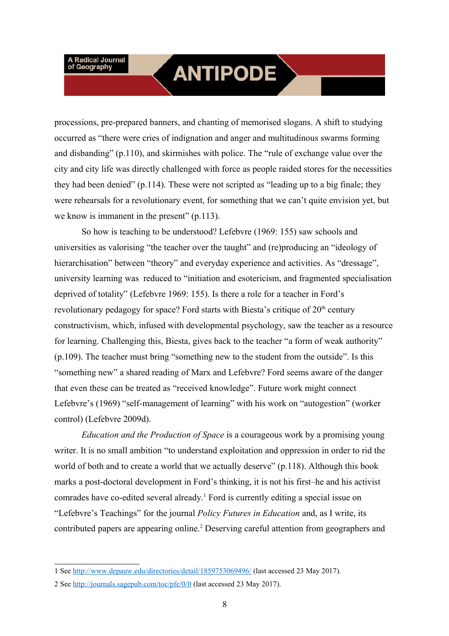### **ANTIPODE**

processions, pre-prepared banners, and chanting of memorised slogans. A shift to studying occurred as "there were cries of indignation and anger and multitudinous swarms forming and disbanding" (p.110), and skirmishes with police. The "rule of exchange value over the city and city life was directly challenged with force as people raided stores for the necessities they had been denied" (p.114). These were not scripted as "leading up to a big finale; they were rehearsals for a revolutionary event, for something that we can't quite envision yet, but we know is immanent in the present" (p.113).

So how is teaching to be understood? Lefebvre (1969: 155) saw schools and universities as valorising "the teacher over the taught" and (re)producing an "ideology of hierarchisation" between "theory" and everyday experience and activities. As "dressage", university learning was reduced to "initiation and esotericism, and fragmented specialisation deprived of totality" (Lefebvre 1969: 155). Is there a role for a teacher in Ford's revolutionary pedagogy for space? Ford starts with Biesta's critique of 20<sup>th</sup> century constructivism, which, infused with developmental psychology, saw the teacher as a resource for learning. Challenging this, Biesta, gives back to the teacher "a form of weak authority" (p.109). The teacher must bring "something new to the student from the outside". Is this "something new" a shared reading of Marx and Lefebvre? Ford seems aware of the danger that even these can be treated as "received knowledge". Future work might connect Lefebvre's (1969) "self-management of learning" with his work on "autogestion" (worker control) (Lefebvre 2009d).

*Education and the Production of Space* is a courageous work by a promising young writer. It is no small ambition "to understand exploitation and oppression in order to rid the world of both and to create a world that we actually deserve" (p.118). Although this book marks a post-doctoral development in Ford's thinking, it is not his first–he and his activist comrades have co-edited several already.<sup>1</sup> Ford is currently editing a special issue on "Lefebvre's Teachings" for the journal *Policy Futures in Education* and, as I write, its contributed papers are appearing online.<sup>2</sup> Deserving careful attention from geographers and

<span id="page-7-0"></span><sup>1</sup> See http://www.depauw.edu/directories/detail/1859753069496/ (last accessed 23 May 2017).

<span id="page-7-1"></span><sup>2</sup> See http://journals.sagepub.com/toc/pfe/0/0 (last accessed 23 May 2017).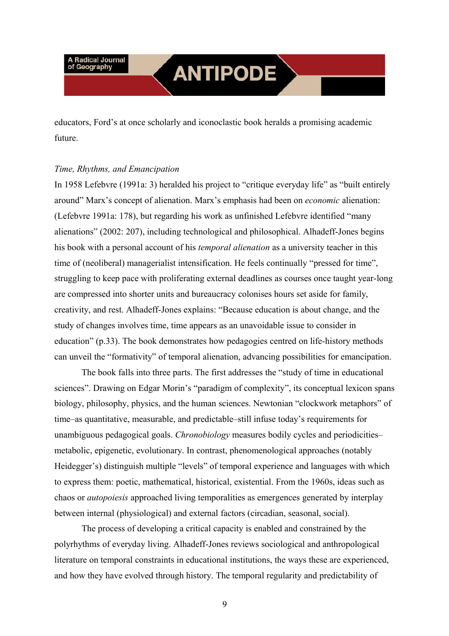## **ANTIPODE**

educators, Ford's at once scholarly and iconoclastic book heralds a promising academic future.

#### *Time, Rhythms, and Emancipation*

In 1958 Lefebvre (1991a: 3) heralded his project to "critique everyday life" as "built entirely around" Marx's concept of alienation. Marx's emphasis had been on *economic* alienation: (Lefebvre 1991a: 178), but regarding his work as unfinished Lefebvre identified "many alienations" (2002: 207), including technological and philosophical. Alhadeff-Jones begins his book with a personal account of his *temporal alienation* as a university teacher in this time of (neoliberal) managerialist intensification. He feels continually "pressed for time", struggling to keep pace with proliferating external deadlines as courses once taught year-long are compressed into shorter units and bureaucracy colonises hours set aside for family, creativity, and rest. Alhadeff-Jones explains: "Because education is about change, and the study of changes involves time, time appears as an unavoidable issue to consider in education" (p.33). The book demonstrates how pedagogies centred on life-history methods can unveil the "formativity" of temporal alienation, advancing possibilities for emancipation.

The book falls into three parts. The first addresses the "study of time in educational sciences". Drawing on Edgar Morin's "paradigm of complexity", its conceptual lexicon spans biology, philosophy, physics, and the human sciences. Newtonian "clockwork metaphors" of time–as quantitative, measurable, and predictable–still infuse today's requirements for unambiguous pedagogical goals. *Chronobiology* measures bodily cycles and periodicities– metabolic, epigenetic, evolutionary. In contrast, phenomenological approaches (notably Heidegger's) distinguish multiple "levels" of temporal experience and languages with which to express them: poetic, mathematical, historical, existential. From the 1960s, ideas such as chaos or *autopoiesis* approached living temporalities as emergences generated by interplay between internal (physiological) and external factors (circadian, seasonal, social).

The process of developing a critical capacity is enabled and constrained by the polyrhythms of everyday living. Alhadeff-Jones reviews sociological and anthropological literature on temporal constraints in educational institutions, the ways these are experienced, and how they have evolved through history. The temporal regularity and predictability of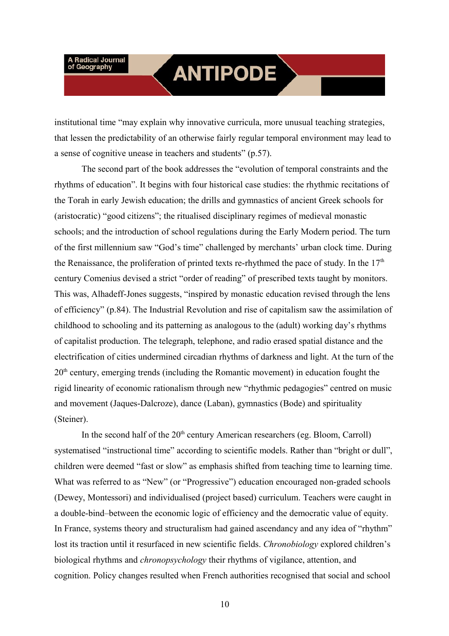### **ANTIPODE**

institutional time "may explain why innovative curricula, more unusual teaching strategies, that lessen the predictability of an otherwise fairly regular temporal environment may lead to a sense of cognitive unease in teachers and students" (p.57).

The second part of the book addresses the "evolution of temporal constraints and the rhythms of education". It begins with four historical case studies: the rhythmic recitations of the Torah in early Jewish education; the drills and gymnastics of ancient Greek schools for (aristocratic) "good citizens"; the ritualised disciplinary regimes of medieval monastic schools; and the introduction of school regulations during the Early Modern period. The turn of the first millennium saw "God's time" challenged by merchants' urban clock time. During the Renaissance, the proliferation of printed texts re-rhythmed the pace of study. In the  $17<sup>th</sup>$ century Comenius devised a strict "order of reading" of prescribed texts taught by monitors. This was, Alhadeff-Jones suggests, "inspired by monastic education revised through the lens of efficiency" (p.84). The Industrial Revolution and rise of capitalism saw the assimilation of childhood to schooling and its patterning as analogous to the (adult) working day's rhythms of capitalist production. The telegraph, telephone, and radio erased spatial distance and the electrification of cities undermined circadian rhythms of darkness and light. At the turn of the  $20<sup>th</sup>$  century, emerging trends (including the Romantic movement) in education fought the rigid linearity of economic rationalism through new "rhythmic pedagogies" centred on music and movement (Jaques-Dalcroze), dance (Laban), gymnastics (Bode) and spirituality (Steiner).

In the second half of the  $20<sup>th</sup>$  century American researchers (eg. Bloom, Carroll) systematised "instructional time" according to scientific models. Rather than "bright or dull", children were deemed "fast or slow" as emphasis shifted from teaching time to learning time. What was referred to as "New" (or "Progressive") education encouraged non-graded schools (Dewey, Montessori) and individualised (project based) curriculum. Teachers were caught in a double-bind–between the economic logic of efficiency and the democratic value of equity. In France, systems theory and structuralism had gained ascendancy and any idea of "rhythm" lost its traction until it resurfaced in new scientific fields. *Chronobiology* explored children's biological rhythms and *chronopsychology* their rhythms of vigilance, attention, and cognition. Policy changes resulted when French authorities recognised that social and school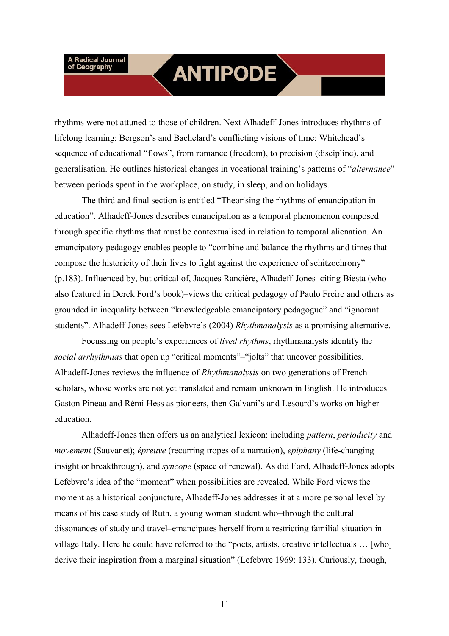### **ANTIPODE**

rhythms were not attuned to those of children. Next Alhadeff-Jones introduces rhythms of lifelong learning: Bergson's and Bachelard's conflicting visions of time; Whitehead's sequence of educational "flows", from romance (freedom), to precision (discipline), and generalisation. He outlines historical changes in vocational training's patterns of "*alternance*" between periods spent in the workplace, on study, in sleep, and on holidays.

The third and final section is entitled "Theorising the rhythms of emancipation in education". Alhadeff-Jones describes emancipation as a temporal phenomenon composed through specific rhythms that must be contextualised in relation to temporal alienation. An emancipatory pedagogy enables people to "combine and balance the rhythms and times that compose the historicity of their lives to fight against the experience of schitzochrony" (p.183). Influenced by, but critical of, Jacques Rancière, Alhadeff-Jones–citing Biesta (who also featured in Derek Ford's book)–views the critical pedagogy of Paulo Freire and others as grounded in inequality between "knowledgeable emancipatory pedagogue" and "ignorant students". Alhadeff-Jones sees Lefebvre's (2004) *Rhythmanalysis* as a promising alternative.

Focussing on people's experiences of *lived rhythms*, rhythmanalysts identify the *social arrhythmias* that open up "critical moments"–"jolts" that uncover possibilities. Alhadeff-Jones reviews the influence of *Rhythmanalysis* on two generations of French scholars, whose works are not yet translated and remain unknown in English. He introduces Gaston Pineau and Rémi Hess as pioneers, then Galvani's and Lesourd's works on higher education.

Alhadeff-Jones then offers us an analytical lexicon: including *pattern*, *periodicity* and *movement* (Sauvanet); *épreuve* (recurring tropes of a narration), *epiphany* (life-changing insight or breakthrough), and *syncope* (space of renewal). As did Ford, Alhadeff-Jones adopts Lefebvre's idea of the "moment" when possibilities are revealed. While Ford views the moment as a historical conjuncture, Alhadeff-Jones addresses it at a more personal level by means of his case study of Ruth, a young woman student who–through the cultural dissonances of study and travel–emancipates herself from a restricting familial situation in village Italy. Here he could have referred to the "poets, artists, creative intellectuals … [who] derive their inspiration from a marginal situation" (Lefebvre 1969: 133). Curiously, though,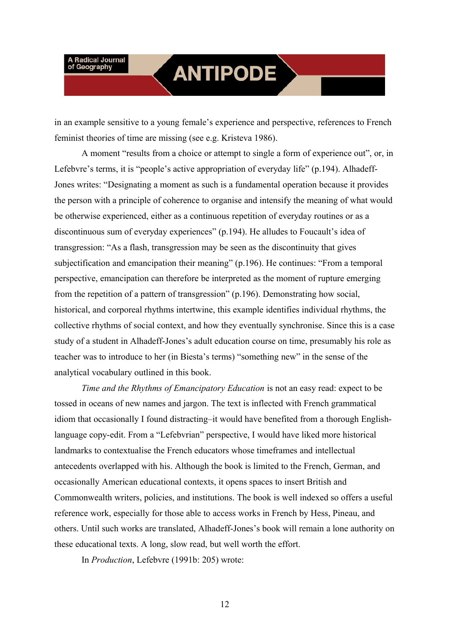### **ANTIPODE**

in an example sensitive to a young female's experience and perspective, references to French feminist theories of time are missing (see e.g. Kristeva 1986).

A moment "results from a choice or attempt to single a form of experience out", or, in Lefebvre's terms, it is "people's active appropriation of everyday life" (p.194). Alhadeff-Jones writes: "Designating a moment as such is a fundamental operation because it provides the person with a principle of coherence to organise and intensify the meaning of what would be otherwise experienced, either as a continuous repetition of everyday routines or as a discontinuous sum of everyday experiences" (p.194). He alludes to Foucault's idea of transgression: "As a flash, transgression may be seen as the discontinuity that gives subjectification and emancipation their meaning" (p.196). He continues: "From a temporal perspective, emancipation can therefore be interpreted as the moment of rupture emerging from the repetition of a pattern of transgression" (p.196). Demonstrating how social, historical, and corporeal rhythms intertwine, this example identifies individual rhythms, the collective rhythms of social context, and how they eventually synchronise. Since this is a case study of a student in Alhadeff-Jones's adult education course on time, presumably his role as teacher was to introduce to her (in Biesta's terms) "something new" in the sense of the analytical vocabulary outlined in this book.

*Time and the Rhythms of Emancipatory Education* is not an easy read: expect to be tossed in oceans of new names and jargon. The text is inflected with French grammatical idiom that occasionally I found distracting–it would have benefited from a thorough Englishlanguage copy-edit. From a "Lefebvrian" perspective, I would have liked more historical landmarks to contextualise the French educators whose timeframes and intellectual antecedents overlapped with his. Although the book is limited to the French, German, and occasionally American educational contexts, it opens spaces to insert British and Commonwealth writers, policies, and institutions. The book is well indexed so offers a useful reference work, especially for those able to access works in French by Hess, Pineau, and others. Until such works are translated, Alhadeff-Jones's book will remain a lone authority on these educational texts. A long, slow read, but well worth the effort.

In *Production*, Lefebvre (1991b: 205) wrote: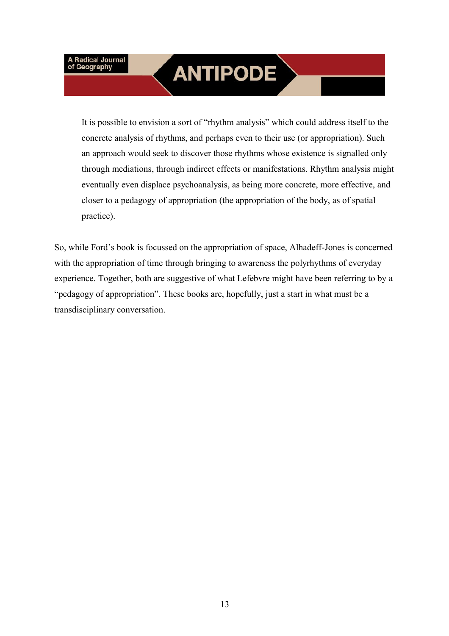# **ANTIPODE**

It is possible to envision a sort of "rhythm analysis" which could address itself to the concrete analysis of rhythms, and perhaps even to their use (or appropriation). Such an approach would seek to discover those rhythms whose existence is signalled only through mediations, through indirect effects or manifestations. Rhythm analysis might eventually even displace psychoanalysis, as being more concrete, more effective, and closer to a pedagogy of appropriation (the appropriation of the body, as of spatial practice).

So, while Ford's book is focussed on the appropriation of space, Alhadeff-Jones is concerned with the appropriation of time through bringing to awareness the polyrhythms of everyday experience. Together, both are suggestive of what Lefebvre might have been referring to by a "pedagogy of appropriation". These books are, hopefully, just a start in what must be a transdisciplinary conversation.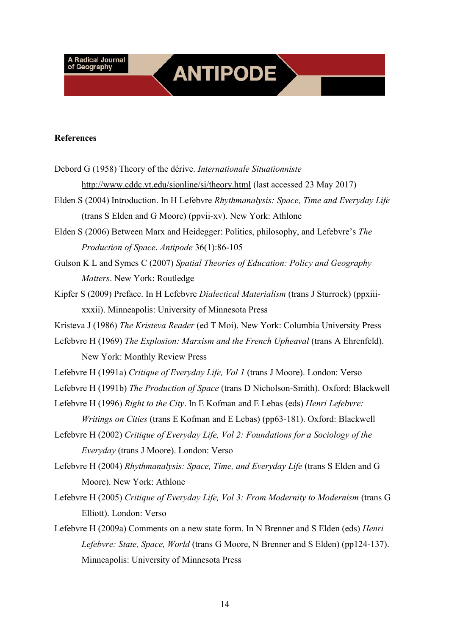## **ANTIPODE**

#### **References**

- Debord G (1958) Theory of the dérive. *Internationale Situationniste* http://www.cddc.vt.edu/sionline/si/theory.html (last accessed 23 May 2017)
- Elden S (2004) Introduction. In H Lefebvre *Rhythmanalysis: Space, Time and Everyday Life* (trans S Elden and G Moore) (ppvii-xv). New York: Athlone
- Elden S (2006) Between Marx and Heidegger: Politics, philosophy, and Lefebvre's *The Production of Space*. *Antipode* 36(1):86-105
- Gulson K L and Symes C (2007) *Spatial Theories of Education: Policy and Geography Matters*. New York: Routledge
- Kipfer S (2009) Preface. In H Lefebvre *Dialectical Materialism* (trans J Sturrock) (ppxiiixxxii). Minneapolis: University of Minnesota Press
- Kristeva J (1986) *The Kristeva Reader* (ed T Moi). New York: Columbia University Press
- Lefebvre H (1969) *The Explosion: Marxism and the French Upheaval* (trans A Ehrenfeld). New York: Monthly Review Press
- Lefebvre H (1991a) *Critique of Everyday Life, Vol 1* (trans J Moore). London: Verso
- Lefebvre H (1991b) *The Production of Space* (trans D Nicholson-Smith). Oxford: Blackwell
- Lefebvre H (1996) *Right to the City*. In E Kofman and E Lebas (eds) *Henri Lefebvre:* 
	- *Writings on Cities* (trans E Kofman and E Lebas) (pp63-181). Oxford: Blackwell
- Lefebvre H (2002) *Critique of Everyday Life, Vol 2: Foundations for a Sociology of the Everyday* (trans J Moore). London: Verso
- Lefebvre H (2004) *Rhythmanalysis: Space, Time, and Everyday Life* (trans S Elden and G Moore). New York: Athlone
- Lefebvre H (2005) *Critique of Everyday Life, Vol 3: From Modernity to Modernism* (trans G Elliott). London: Verso
- Lefebvre H (2009a) Comments on a new state form. In N Brenner and S Elden (eds) *Henri Lefebvre: State, Space, World* (trans G Moore, N Brenner and S Elden) (pp124-137). Minneapolis: University of Minnesota Press